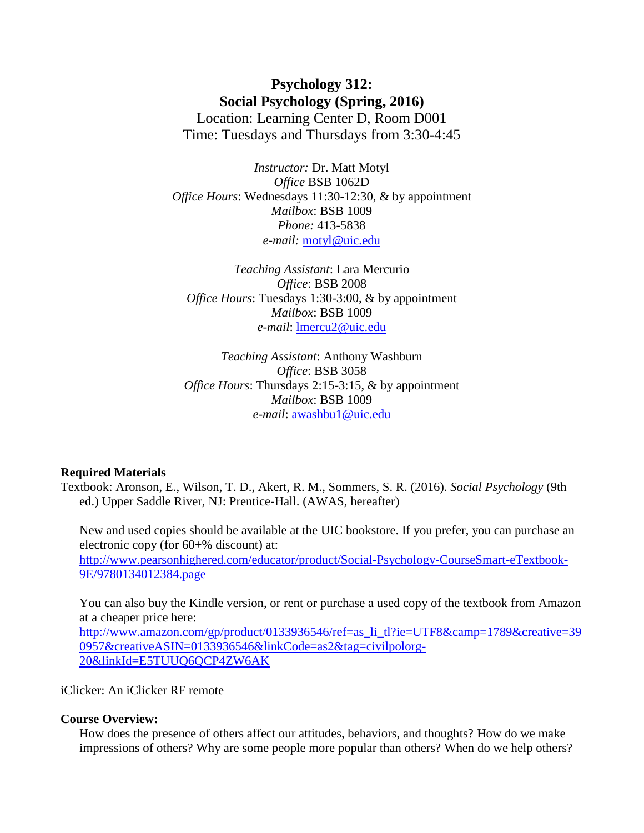# **Psychology 312: Social Psychology (Spring, 2016)** Location: Learning Center D, Room D001 Time: Tuesdays and Thursdays from 3:30-4:45

*Instructor:* Dr. Matt Motyl *Office* BSB 1062D *Office Hours*: Wednesdays 11:30-12:30, & by appointment *Mailbox*: BSB 1009 *Phone:* 413-5838 *e-mail:* [motyl@uic.edu](mailto:motyl@uic.edu)

*Teaching Assistant*: Lara Mercurio *Office*: BSB 2008 *Office Hours*: Tuesdays 1:30-3:00, & by appointment *Mailbox*: BSB 1009 *e-mail*: [lmercu2@uic.edu](mailto:lmercu2@uic.edu)

*Teaching Assistant*: Anthony Washburn *Office*: BSB 3058 *Office Hours*: Thursdays 2:15-3:15, & by appointment *Mailbox*: BSB 1009 *e-mail*: [awashbu1@uic.edu](mailto:awashbu1@uic.edu)

#### **Required Materials**

Textbook: Aronson, E., Wilson, T. D., Akert, R. M., Sommers, S. R. (2016). *Social Psychology* (9th ed.) Upper Saddle River, NJ: Prentice-Hall. (AWAS, hereafter)

New and used copies should be available at the UIC bookstore. If you prefer, you can purchase an electronic copy (for 60+% discount) at:

[http://www.pearsonhighered.com/educator/product/Social-Psychology-CourseSmart-eTextbook-](http://www.pearsonhighered.com/educator/product/Social-Psychology-CourseSmart-eTextbook-9E/9780134012384.page)[9E/9780134012384.page](http://www.pearsonhighered.com/educator/product/Social-Psychology-CourseSmart-eTextbook-9E/9780134012384.page)

You can also buy the Kindle version, or rent or purchase a used copy of the textbook from Amazon at a cheaper price here:

[http://www.amazon.com/gp/product/0133936546/ref=as\\_li\\_tl?ie=UTF8&camp=1789&creative=39](http://www.amazon.com/gp/product/0133936546/ref=as_li_tl?ie=UTF8&camp=1789&creative=390957&creativeASIN=0133936546&linkCode=as2&tag=civilpolorg-20&linkId=E5TUUQ6QCP4ZW6AK) [0957&creativeASIN=0133936546&linkCode=as2&tag=civilpolorg-](http://www.amazon.com/gp/product/0133936546/ref=as_li_tl?ie=UTF8&camp=1789&creative=390957&creativeASIN=0133936546&linkCode=as2&tag=civilpolorg-20&linkId=E5TUUQ6QCP4ZW6AK)[20&linkId=E5TUUQ6QCP4ZW6AK](http://www.amazon.com/gp/product/0133936546/ref=as_li_tl?ie=UTF8&camp=1789&creative=390957&creativeASIN=0133936546&linkCode=as2&tag=civilpolorg-20&linkId=E5TUUQ6QCP4ZW6AK)

iClicker: An iClicker RF remote

#### **Course Overview:**

How does the presence of others affect our attitudes, behaviors, and thoughts? How do we make impressions of others? Why are some people more popular than others? When do we help others?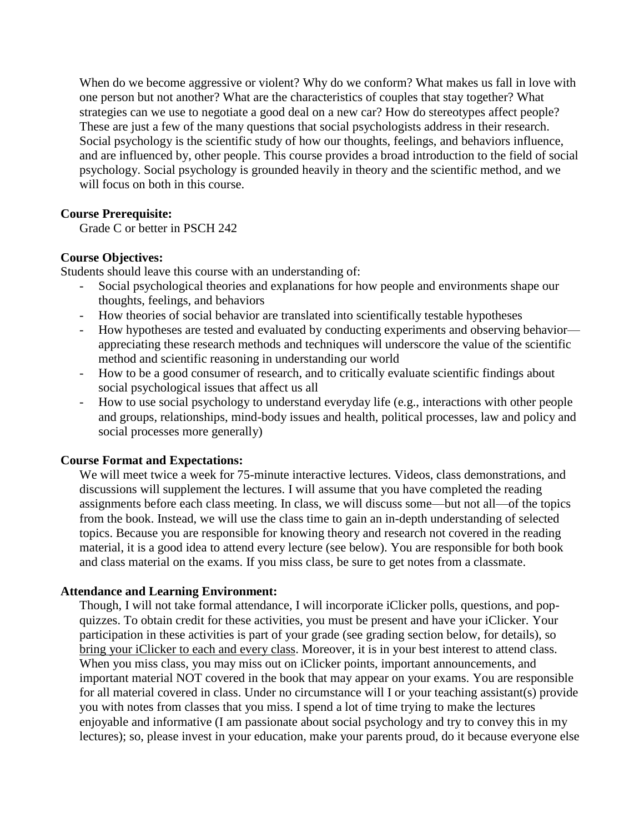When do we become aggressive or violent? Why do we conform? What makes us fall in love with one person but not another? What are the characteristics of couples that stay together? What strategies can we use to negotiate a good deal on a new car? How do stereotypes affect people? These are just a few of the many questions that social psychologists address in their research. Social psychology is the scientific study of how our thoughts, feelings, and behaviors influence, and are influenced by, other people. This course provides a broad introduction to the field of social psychology. Social psychology is grounded heavily in theory and the scientific method, and we will focus on both in this course.

#### **Course Prerequisite:**

Grade C or better in PSCH 242

### **Course Objectives:**

Students should leave this course with an understanding of:

- Social psychological theories and explanations for how people and environments shape our thoughts, feelings, and behaviors
- How theories of social behavior are translated into scientifically testable hypotheses
- How hypotheses are tested and evaluated by conducting experiments and observing behavior appreciating these research methods and techniques will underscore the value of the scientific method and scientific reasoning in understanding our world
- How to be a good consumer of research, and to critically evaluate scientific findings about social psychological issues that affect us all
- How to use social psychology to understand everyday life (e.g., interactions with other people and groups, relationships, mind-body issues and health, political processes, law and policy and social processes more generally)

#### **Course Format and Expectations:**

We will meet twice a week for 75-minute interactive lectures. Videos, class demonstrations, and discussions will supplement the lectures. I will assume that you have completed the reading assignments before each class meeting. In class, we will discuss some—but not all—of the topics from the book. Instead, we will use the class time to gain an in-depth understanding of selected topics. Because you are responsible for knowing theory and research not covered in the reading material, it is a good idea to attend every lecture (see below). You are responsible for both book and class material on the exams. If you miss class, be sure to get notes from a classmate.

#### **Attendance and Learning Environment:**

Though, I will not take formal attendance, I will incorporate iClicker polls, questions, and popquizzes. To obtain credit for these activities, you must be present and have your iClicker. Your participation in these activities is part of your grade (see grading section below, for details), so bring your iClicker to each and every class. Moreover, it is in your best interest to attend class. When you miss class, you may miss out on iClicker points, important announcements, and important material NOT covered in the book that may appear on your exams. You are responsible for all material covered in class. Under no circumstance will I or your teaching assistant(s) provide you with notes from classes that you miss. I spend a lot of time trying to make the lectures enjoyable and informative (I am passionate about social psychology and try to convey this in my lectures); so, please invest in your education, make your parents proud, do it because everyone else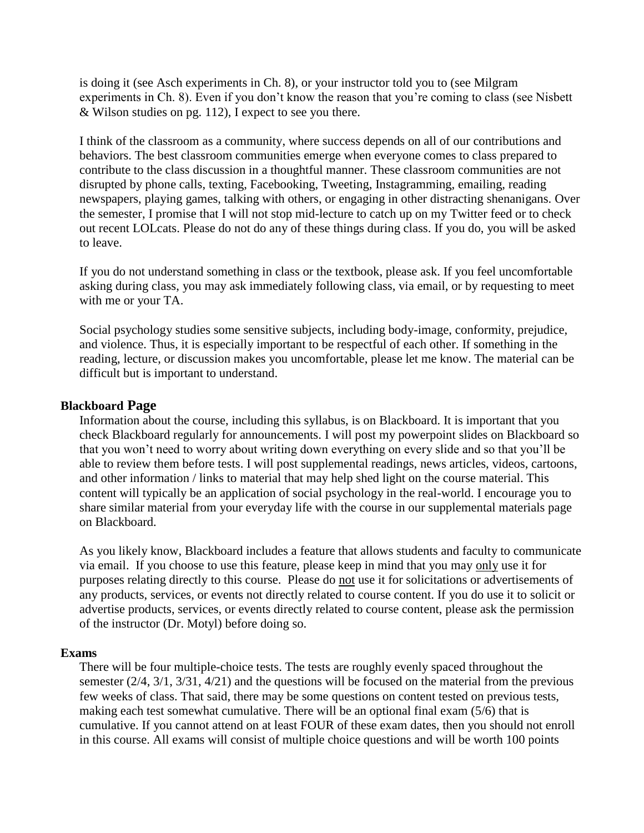is doing it (see Asch experiments in Ch. 8), or your instructor told you to (see Milgram experiments in Ch. 8). Even if you don't know the reason that you're coming to class (see Nisbett & Wilson studies on pg. 112), I expect to see you there.

I think of the classroom as a community, where success depends on all of our contributions and behaviors. The best classroom communities emerge when everyone comes to class prepared to contribute to the class discussion in a thoughtful manner. These classroom communities are not disrupted by phone calls, texting, Facebooking, Tweeting, Instagramming, emailing, reading newspapers, playing games, talking with others, or engaging in other distracting shenanigans. Over the semester, I promise that I will not stop mid-lecture to catch up on my Twitter feed or to check out recent LOLcats. Please do not do any of these things during class. If you do, you will be asked to leave.

If you do not understand something in class or the textbook, please ask. If you feel uncomfortable asking during class, you may ask immediately following class, via email, or by requesting to meet with me or your TA.

Social psychology studies some sensitive subjects, including body-image, conformity, prejudice, and violence. Thus, it is especially important to be respectful of each other. If something in the reading, lecture, or discussion makes you uncomfortable, please let me know. The material can be difficult but is important to understand.

#### **Blackboard Page**

Information about the course, including this syllabus, is on Blackboard. It is important that you check Blackboard regularly for announcements. I will post my powerpoint slides on Blackboard so that you won't need to worry about writing down everything on every slide and so that you'll be able to review them before tests. I will post supplemental readings, news articles, videos, cartoons, and other information / links to material that may help shed light on the course material. This content will typically be an application of social psychology in the real-world. I encourage you to share similar material from your everyday life with the course in our supplemental materials page on Blackboard.

As you likely know, Blackboard includes a feature that allows students and faculty to communicate via email. If you choose to use this feature, please keep in mind that you may only use it for purposes relating directly to this course. Please do not use it for solicitations or advertisements of any products, services, or events not directly related to course content. If you do use it to solicit or advertise products, services, or events directly related to course content, please ask the permission of the instructor (Dr. Motyl) before doing so.

#### **Exams**

There will be four multiple-choice tests. The tests are roughly evenly spaced throughout the semester (2/4, 3/1, 3/31, 4/21) and the questions will be focused on the material from the previous few weeks of class. That said, there may be some questions on content tested on previous tests, making each test somewhat cumulative. There will be an optional final exam (5/6) that is cumulative. If you cannot attend on at least FOUR of these exam dates, then you should not enroll in this course. All exams will consist of multiple choice questions and will be worth 100 points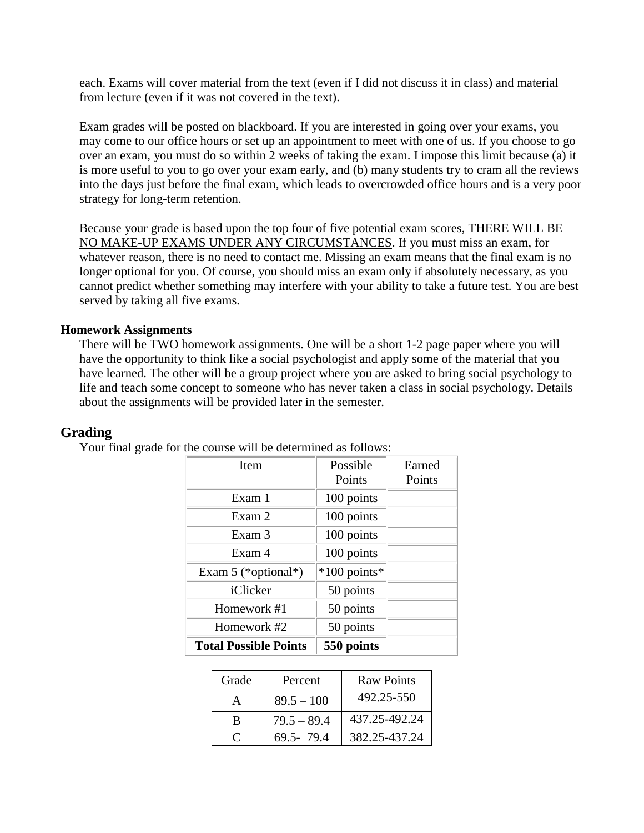each. Exams will cover material from the text (even if I did not discuss it in class) and material from lecture (even if it was not covered in the text).

Exam grades will be posted on blackboard. If you are interested in going over your exams, you may come to our office hours or set up an appointment to meet with one of us. If you choose to go over an exam, you must do so within 2 weeks of taking the exam. I impose this limit because (a) it is more useful to you to go over your exam early, and (b) many students try to cram all the reviews into the days just before the final exam, which leads to overcrowded office hours and is a very poor strategy for long-term retention.

Because your grade is based upon the top four of five potential exam scores, THERE WILL BE NO MAKE-UP EXAMS UNDER ANY CIRCUMSTANCES. If you must miss an exam, for whatever reason, there is no need to contact me. Missing an exam means that the final exam is no longer optional for you. Of course, you should miss an exam only if absolutely necessary, as you cannot predict whether something may interfere with your ability to take a future test. You are best served by taking all five exams.

#### **Homework Assignments**

There will be TWO homework assignments. One will be a short 1-2 page paper where you will have the opportunity to think like a social psychologist and apply some of the material that you have learned. The other will be a group project where you are asked to bring social psychology to life and teach some concept to someone who has never taken a class in social psychology. Details about the assignments will be provided later in the semester.

# **Grading**

| <b>Item</b>                  | Possible       | Earned |
|------------------------------|----------------|--------|
|                              | Points         | Points |
| Exam 1                       | 100 points     |        |
| Exam 2                       | 100 points     |        |
| Exam 3                       | 100 points     |        |
| Exam 4                       | 100 points     |        |
| Exam $5$ (*optional*)        | $*100$ points* |        |
| iClicker                     | 50 points      |        |
| Homework #1                  | 50 points      |        |
| Homework #2                  | 50 points      |        |
| <b>Total Possible Points</b> | 550 points     |        |

Your final grade for the course will be determined as follows:

| Grade     | Percent       | <b>Raw Points</b> |
|-----------|---------------|-------------------|
| A         | $89.5 - 100$  | 492.25-550        |
| B         | $79.5 - 89.4$ | 437.25-492.24     |
| $\subset$ | 69.5 - 79.4   | 382.25-437.24     |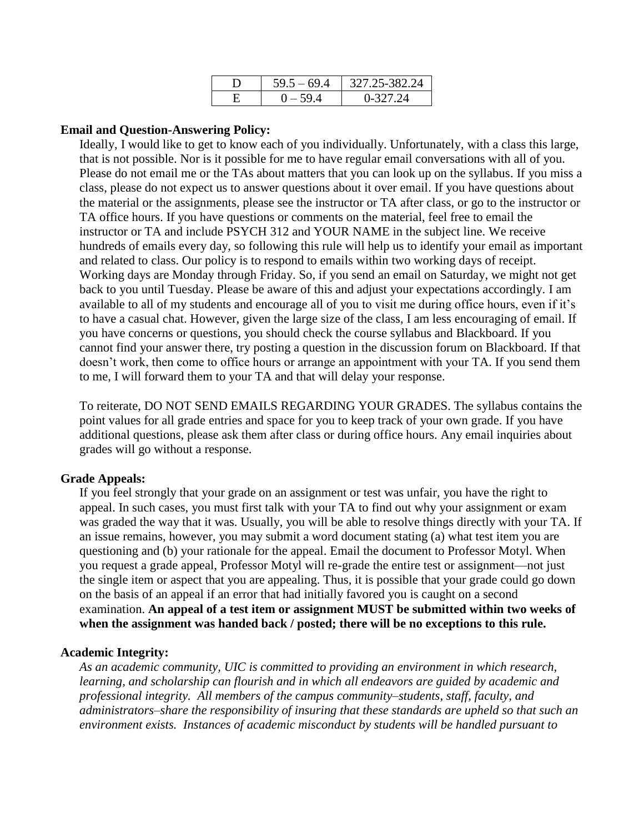| 69.4<br>$59.5 -$ | 327.25-382.24 |
|------------------|---------------|
| Δ                | 0.327.24      |

#### **Email and Question-Answering Policy:**

Ideally, I would like to get to know each of you individually. Unfortunately, with a class this large, that is not possible. Nor is it possible for me to have regular email conversations with all of you. Please do not email me or the TAs about matters that you can look up on the syllabus. If you miss a class, please do not expect us to answer questions about it over email. If you have questions about the material or the assignments, please see the instructor or TA after class, or go to the instructor or TA office hours. If you have questions or comments on the material, feel free to email the instructor or TA and include PSYCH 312 and YOUR NAME in the subject line. We receive hundreds of emails every day, so following this rule will help us to identify your email as important and related to class. Our policy is to respond to emails within two working days of receipt. Working days are Monday through Friday. So, if you send an email on Saturday, we might not get back to you until Tuesday. Please be aware of this and adjust your expectations accordingly. I am available to all of my students and encourage all of you to visit me during office hours, even if it's to have a casual chat. However, given the large size of the class, I am less encouraging of email. If you have concerns or questions, you should check the course syllabus and Blackboard. If you cannot find your answer there, try posting a question in the discussion forum on Blackboard. If that doesn't work, then come to office hours or arrange an appointment with your TA. If you send them to me, I will forward them to your TA and that will delay your response.

To reiterate, DO NOT SEND EMAILS REGARDING YOUR GRADES. The syllabus contains the point values for all grade entries and space for you to keep track of your own grade. If you have additional questions, please ask them after class or during office hours. Any email inquiries about grades will go without a response.

#### **Grade Appeals:**

If you feel strongly that your grade on an assignment or test was unfair, you have the right to appeal. In such cases, you must first talk with your TA to find out why your assignment or exam was graded the way that it was. Usually, you will be able to resolve things directly with your TA. If an issue remains, however, you may submit a word document stating (a) what test item you are questioning and (b) your rationale for the appeal. Email the document to Professor Motyl. When you request a grade appeal, Professor Motyl will re-grade the entire test or assignment—not just the single item or aspect that you are appealing. Thus, it is possible that your grade could go down on the basis of an appeal if an error that had initially favored you is caught on a second examination. **An appeal of a test item or assignment MUST be submitted within two weeks of when the assignment was handed back / posted; there will be no exceptions to this rule.**

#### **Academic Integrity:**

*As an academic community, UIC is committed to providing an environment in which research, learning, and scholarship can flourish and in which all endeavors are guided by academic and professional integrity. All members of the campus community–students, staff, faculty, and administrators–share the responsibility of insuring that these standards are upheld so that such an environment exists. Instances of academic misconduct by students will be handled pursuant to*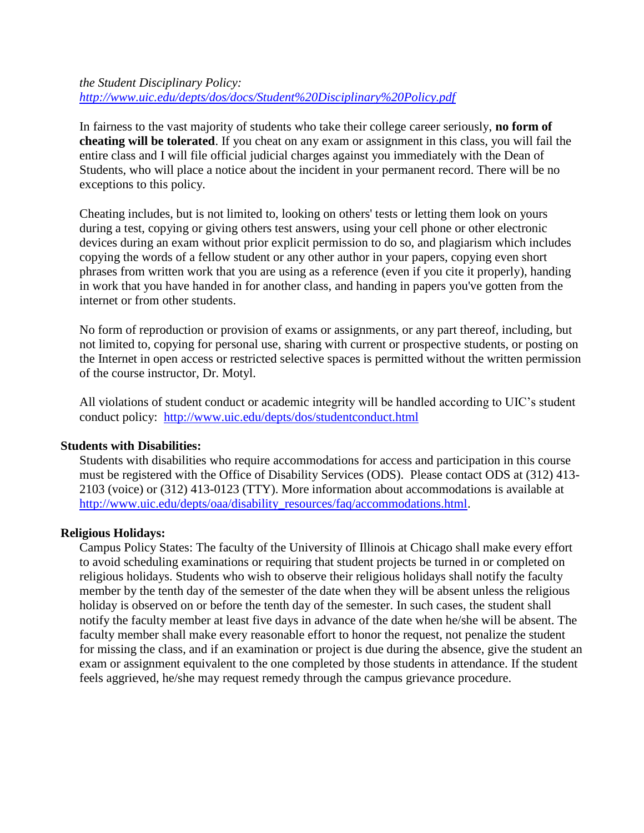# *the Student Disciplinary Policy: <http://www.uic.edu/depts/dos/docs/Student%20Disciplinary%20Policy.pdf>*

In fairness to the vast majority of students who take their college career seriously, **no form of cheating will be tolerated**. If you cheat on any exam or assignment in this class, you will fail the entire class and I will file official judicial charges against you immediately with the Dean of Students, who will place a notice about the incident in your permanent record. There will be no exceptions to this policy.

Cheating includes, but is not limited to, looking on others' tests or letting them look on yours during a test, copying or giving others test answers, using your cell phone or other electronic devices during an exam without prior explicit permission to do so, and plagiarism which includes copying the words of a fellow student or any other author in your papers, copying even short phrases from written work that you are using as a reference (even if you cite it properly), handing in work that you have handed in for another class, and handing in papers you've gotten from the internet or from other students.

No form of reproduction or provision of exams or assignments, or any part thereof, including, but not limited to, copying for personal use, sharing with current or prospective students, or posting on the Internet in open access or restricted selective spaces is permitted without the written permission of the course instructor, Dr. Motyl.

All violations of student conduct or academic integrity will be handled according to UIC's student conduct policy: <http://www.uic.edu/depts/dos/studentconduct.html>

#### **Students with Disabilities:**

Students with disabilities who require accommodations for access and participation in this course must be registered with the Office of Disability Services (ODS). Please contact ODS at (312) 413- 2103 (voice) or (312) 413-0123 (TTY). More information about accommodations is available at [http://www.uic.edu/depts/oaa/disability\\_resources/faq/accommodations.html.](http://www.uic.edu/depts/oaa/disability_resources/faq/accommodations.html)

# **Religious Holidays:**

Campus Policy States: The faculty of the University of Illinois at Chicago shall make every effort to avoid scheduling examinations or requiring that student projects be turned in or completed on religious holidays. Students who wish to observe their religious holidays shall notify the faculty member by the tenth day of the semester of the date when they will be absent unless the religious holiday is observed on or before the tenth day of the semester. In such cases, the student shall notify the faculty member at least five days in advance of the date when he/she will be absent. The faculty member shall make every reasonable effort to honor the request, not penalize the student for missing the class, and if an examination or project is due during the absence, give the student an exam or assignment equivalent to the one completed by those students in attendance. If the student feels aggrieved, he/she may request remedy through the campus grievance procedure.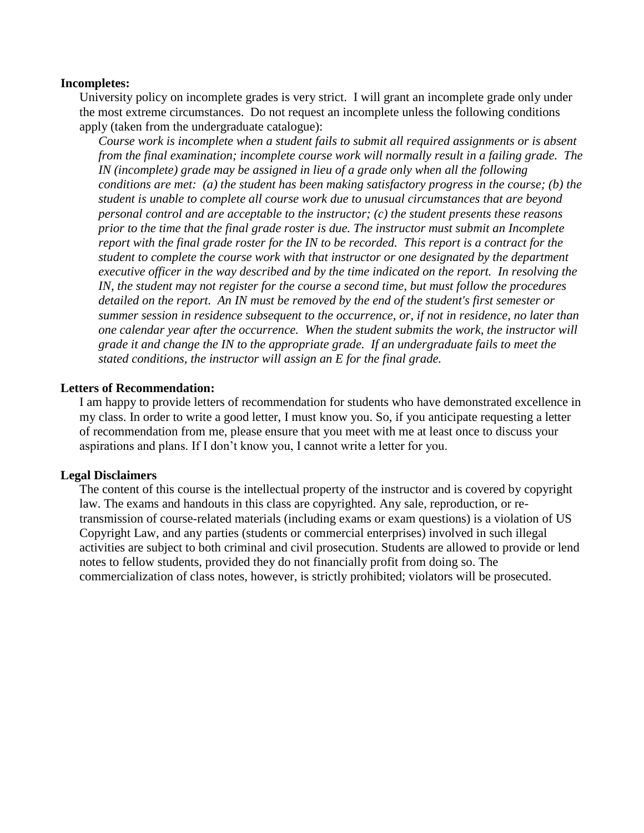#### **Incompletes:**

University policy on incomplete grades is very strict. I will grant an incomplete grade only under the most extreme circumstances. Do not request an incomplete unless the following conditions apply (taken from the undergraduate catalogue):

*Course work is incomplete when a student fails to submit all required assignments or is absent from the final examination; incomplete course work will normally result in a failing grade. The IN (incomplete) grade may be assigned in lieu of a grade only when all the following conditions are met: (a) the student has been making satisfactory progress in the course; (b) the student is unable to complete all course work due to unusual circumstances that are beyond personal control and are acceptable to the instructor; (c) the student presents these reasons prior to the time that the final grade roster is due. The instructor must submit an Incomplete report with the final grade roster for the IN to be recorded. This report is a contract for the student to complete the course work with that instructor or one designated by the department executive officer in the way described and by the time indicated on the report. In resolving the IN, the student may not register for the course a second time, but must follow the procedures detailed on the report. An IN must be removed by the end of the student's first semester or summer session in residence subsequent to the occurrence, or, if not in residence, no later than one calendar year after the occurrence. When the student submits the work, the instructor will grade it and change the IN to the appropriate grade. If an undergraduate fails to meet the stated conditions, the instructor will assign an E for the final grade.*

#### **Letters of Recommendation:**

I am happy to provide letters of recommendation for students who have demonstrated excellence in my class. In order to write a good letter, I must know you. So, if you anticipate requesting a letter of recommendation from me, please ensure that you meet with me at least once to discuss your aspirations and plans. If I don't know you, I cannot write a letter for you.

#### **Legal Disclaimers**

The content of this course is the intellectual property of the instructor and is covered by copyright law. The exams and handouts in this class are copyrighted. Any sale, reproduction, or retransmission of course-related materials (including exams or exam questions) is a violation of US Copyright Law, and any parties (students or commercial enterprises) involved in such illegal activities are subject to both criminal and civil prosecution. Students are allowed to provide or lend notes to fellow students, provided they do not financially profit from doing so. The commercialization of class notes, however, is strictly prohibited; violators will be prosecuted.